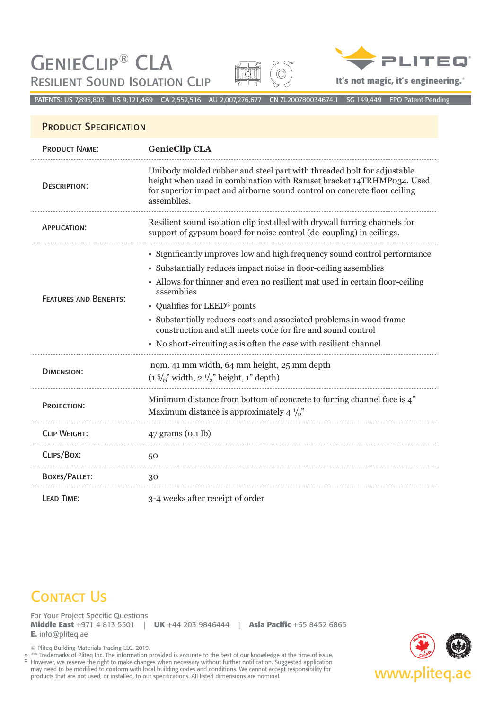GenieClip® CLA RESILIENT SOUND ISOLATION CLIP **In the USALIA CLIP It's not magic, it's engineering.**<sup>®</sup>





PATENTS: US 7,895,803 US 9,121,469 CA 2,552,516 AU 2,007,276,677 CN ZL200780034674.1 SG 149,449 EPO Patent Pending

## PRODUCT SPECIFICATION

| <b>PRODUCT NAME:</b>          | <b>GenieClip CLA</b>                                                                                                                                                                                                                                                                                                                                                                                                                                                                    |
|-------------------------------|-----------------------------------------------------------------------------------------------------------------------------------------------------------------------------------------------------------------------------------------------------------------------------------------------------------------------------------------------------------------------------------------------------------------------------------------------------------------------------------------|
| <b>DESCRIPTION:</b>           | Unibody molded rubber and steel part with threaded bolt for adjustable<br>height when used in combination with Ramset bracket 14TRHMP034. Used<br>for superior impact and airborne sound control on concrete floor ceiling<br>assemblies.                                                                                                                                                                                                                                               |
| APPLICATION:                  | Resilient sound isolation clip installed with drywall furring channels for<br>support of gypsum board for noise control (de-coupling) in ceilings.                                                                                                                                                                                                                                                                                                                                      |
| <b>FEATURES AND BENEFITS:</b> | • Significantly improves low and high frequency sound control performance<br>• Substantially reduces impact noise in floor-ceiling assemblies<br>• Allows for thinner and even no resilient mat used in certain floor-ceiling<br>assemblies<br>• Qualifies for LEED® points<br>• Substantially reduces costs and associated problems in wood frame<br>construction and still meets code for fire and sound control<br>• No short-circuiting as is often the case with resilient channel |
| <b>DIMENSION:</b>             | nom. 41 mm width, 64 mm height, 25 mm depth<br>$(1\frac{5}{8})$ width, $2\frac{1}{2}$ height, 1" depth)                                                                                                                                                                                                                                                                                                                                                                                 |
| PROJECTION:                   | Minimum distance from bottom of concrete to furring channel face is 4"<br>Maximum distance is approximately 4 $\frac{1}{2}$                                                                                                                                                                                                                                                                                                                                                             |
| <b>CLIP WEIGHT:</b>           | $47$ grams $(0.1$ lb)                                                                                                                                                                                                                                                                                                                                                                                                                                                                   |
| CLIPS/BOX:                    | 50                                                                                                                                                                                                                                                                                                                                                                                                                                                                                      |
| <b>BOXES/PALLET:</b>          | 30                                                                                                                                                                                                                                                                                                                                                                                                                                                                                      |
| LEAD TIME:                    | 3-4 weeks after receipt of order                                                                                                                                                                                                                                                                                                                                                                                                                                                        |

## **CONTACT US**

For Your Project Specific Questions **Middle East** +971 4 813 5501 | **UK** +44 203 9846444 | **Asia Pacific** +65 8452 6865 **E.** info@pliteq.ae

© Pliteq Building Materials Trading LLC. 2019.

®™ Trademarks of Pliteq Inc. The information provided is accurate to the best of our knowledge at the time of issue. However, we reserve the right to make changes when necessary without further notification. Suggested application may need to be modified to conform with local building codes and conditions. We cannot accept responsibility for **www.photography.com**<br>Products that are not used, or installed, to our specifications. All listed dimensions 11.19